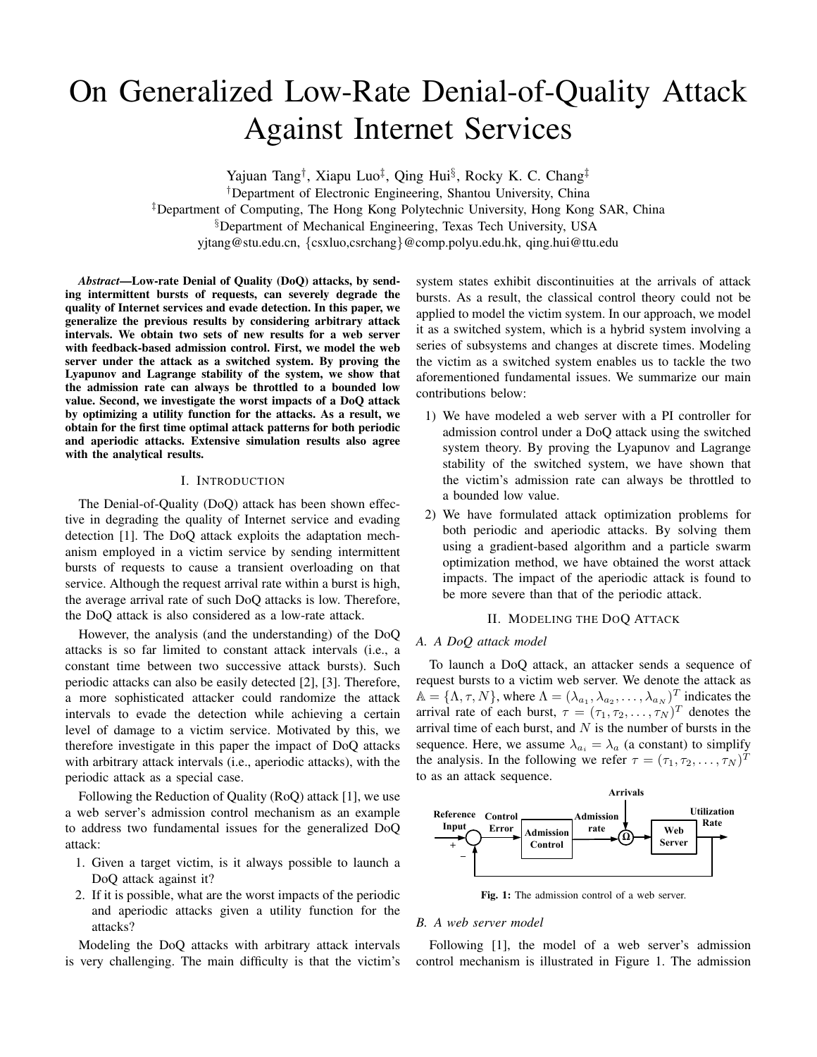# On Generalized Low-Rate Denial-of-Quality Attack Against Internet Services

Yajuan Tang*†*, Xiapu Luo*‡*, Qing Hui*§*, Rocky K. C. Chang*‡* †Department of Electronic Engineering, Shantou University, China ‡Department of Computing, The Hong Kong Polytechnic University, Hong Kong SAR, China §Department of Mechanical Engineering, Texas Tech University, USA yjtang@stu.edu.cn, {csxluo,csrchang}@comp.polyu.edu.hk, qing.hui@ttu.edu

*Abstract***—Low-rate Denial of Quality (DoQ) attacks, by sending intermittent bursts of requests, can severely degrade the quality of Internet services and evade detection. In this paper, we generalize the previous results by considering arbitrary attack intervals. We obtain two sets of new results for a web server with feedback-based admission control. First, we model the web server under the attack as a switched system. By proving the Lyapunov and Lagrange stability of the system, we show that the admission rate can always be throttled to a bounded low value. Second, we investigate the worst impacts of a DoQ attack by optimizing a utility function for the attacks. As a result, we obtain for the first time optimal attack patterns for both periodic and aperiodic attacks. Extensive simulation results also agree with the analytical results.**

## I. INTRODUCTION

The Denial-of-Quality (DoQ) attack has been shown effective in degrading the quality of Internet service and evading detection [1]. The DoQ attack exploits the adaptation mechanism employed in a victim service by sending intermittent bursts of requests to cause a transient overloading on that service. Although the request arrival rate within a burst is high, the average arrival rate of such DoQ attacks is low. Therefore, the DoQ attack is also considered as a low-rate attack.

However, the analysis (and the understanding) of the DoQ attacks is so far limited to constant attack intervals (i.e., a constant time between two successive attack bursts). Such periodic attacks can also be easily detected [2], [3]. Therefore, a more sophisticated attacker could randomize the attack intervals to evade the detection while achieving a certain level of damage to a victim service. Motivated by this, we therefore investigate in this paper the impact of DoQ attacks with arbitrary attack intervals (i.e., aperiodic attacks), with the periodic attack as a special case.

Following the Reduction of Quality (RoQ) attack [1], we use a web server's admission control mechanism as an example to address two fundamental issues for the generalized DoQ attack:

- 1. Given a target victim, is it always possible to launch a DoQ attack against it?
- 2. If it is possible, what are the worst impacts of the periodic and aperiodic attacks given a utility function for the attacks?

Modeling the DoQ attacks with arbitrary attack intervals is very challenging. The main difficulty is that the victim's system states exhibit discontinuities at the arrivals of attack bursts. As a result, the classical control theory could not be applied to model the victim system. In our approach, we model it as a switched system, which is a hybrid system involving a series of subsystems and changes at discrete times. Modeling the victim as a switched system enables us to tackle the two aforementioned fundamental issues. We summarize our main contributions below:

- 1) We have modeled a web server with a PI controller for admission control under a DoQ attack using the switched system theory. By proving the Lyapunov and Lagrange stability of the switched system, we have shown that the victim's admission rate can always be throttled to a bounded low value.
- 2) We have formulated attack optimization problems for both periodic and aperiodic attacks. By solving them using a gradient-based algorithm and a particle swarm optimization method, we have obtained the worst attack impacts. The impact of the aperiodic attack is found to be more severe than that of the periodic attack.

#### II. MODELING THE DOQ ATTACK

## *A. A DoQ attack model*

To launch a DoQ attack, an attacker sends a sequence of request bursts to a victim web server. We denote the attack as  $\mathbb{A} = {\Lambda, \tau, N}$ , where  $\Lambda = (\lambda_{a_1}, \lambda_{a_2}, \dots, \lambda_{a_N})^T$  indicates the arrival rate of each burst,  $\tau = (\tau_1, \tau_2, \ldots, \tau_N)^T$  denotes the arrival time of each burst, and  $N$  is the number of bursts in the sequence. Here, we assume  $\lambda_{a_i} = \lambda_a$  (a constant) to simplify the analysis. In the following we refer  $\tau = (\tau_1, \tau_2, \dots, \tau_N)^T$ to as an attack sequence.



**Fig. 1:** The admission control of a web server.

## *B. A web server model*

Following [1], the model of a web server's admission control mechanism is illustrated in Figure 1. The admission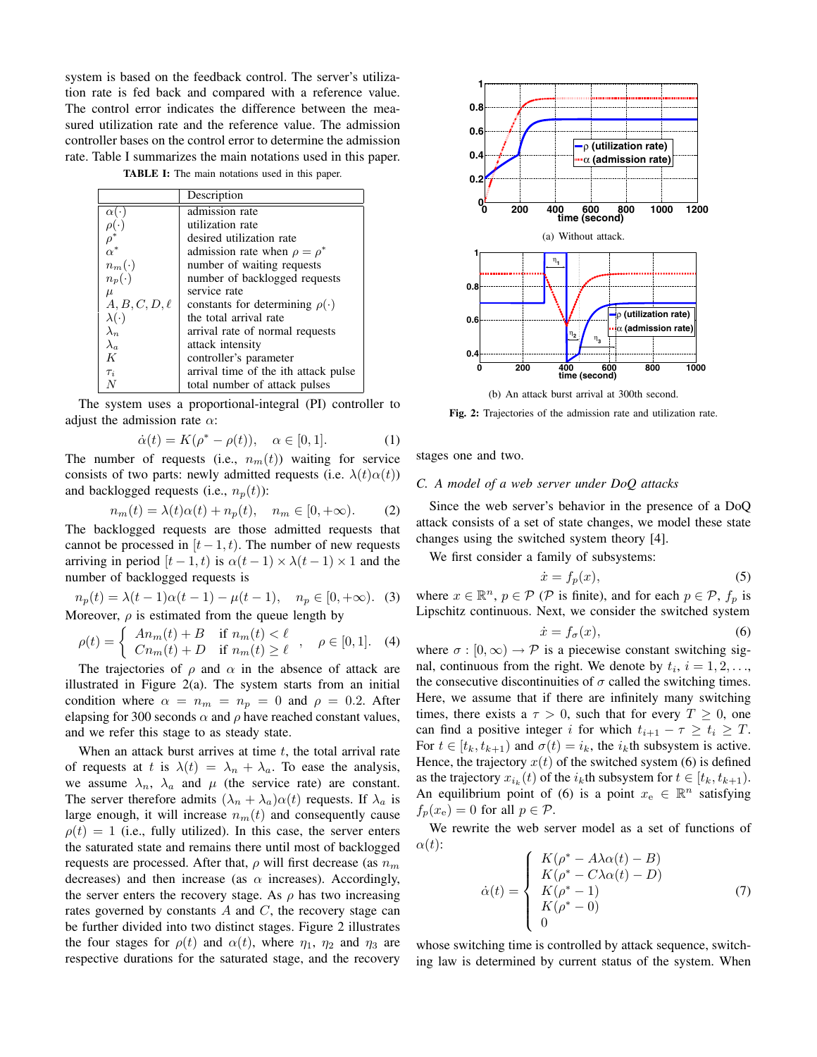system is based on the feedback control. The server's utilization rate is fed back and compared with a reference value. The control error indicates the difference between the measured utilization rate and the reference value. The admission controller bases on the control error to determine the admission rate. Table I summarizes the main notations used in this paper.

**TABLE I:** The main notations used in this paper.

|                              | Description                             |
|------------------------------|-----------------------------------------|
| $\alpha(\cdot)$              | admission rate                          |
| $\frac{\rho(\cdot)}{\rho^*}$ | utilization rate                        |
|                              | desired utilization rate                |
| $\alpha^*$                   | admission rate when $\rho = \rho^*$     |
| $n_m(\cdot)$                 | number of waiting requests              |
| $n_p(\cdot)$                 | number of backlogged requests           |
| $\mu$                        | service rate                            |
| $A, B, C, D, \ell$           | constants for determining $\rho(\cdot)$ |
| $\lambda(\cdot)$             | the total arrival rate                  |
| $\lambda_n$                  | arrival rate of normal requests         |
| $\lambda_a$                  | attack intensity                        |
| K                            | controller's parameter                  |
| $\tau_i$                     | arrival time of the ith attack pulse    |
|                              | total number of attack pulses           |

The system uses a proportional-integral (PI) controller to adjust the admission rate  $\alpha$ :

$$
\dot{\alpha}(t) = K(\rho^* - \rho(t)), \quad \alpha \in [0, 1]. \tag{1}
$$

The number of requests (i.e.,  $n_m(t)$ ) waiting for service consists of two parts: newly admitted requests (i.e.  $\lambda(t)\alpha(t)$ ) and backlogged requests (i.e.,  $n_p(t)$ ):

$$
n_m(t) = \lambda(t)\alpha(t) + n_p(t), \quad n_m \in [0, +\infty). \tag{2}
$$

The backlogged requests are those admitted requests that cannot be processed in  $[t-1, t)$ . The number of new requests arriving in period  $[t - 1, t)$  is  $\alpha(t - 1) \times \lambda(t - 1) \times 1$  and the number of backlogged requests is

$$
n_p(t) = \lambda(t-1)\alpha(t-1) - \mu(t-1), \quad n_p \in [0, +\infty).
$$
 (3)  
Moreover,  $\rho$  is estimated from the queue length by

$$
\rho(t) = \begin{cases} An_m(t) + B & \text{if } n_m(t) < \ell \\ Cn_m(t) + D & \text{if } n_m(t) \ge \ell \end{cases}, \quad \rho \in [0, 1]. \quad (4)
$$

The trajectories of  $\rho$  and  $\alpha$  in the absence of attack are illustrated in Figure 2(a). The system starts from an initial condition where  $\alpha = n_m = n_p = 0$  and  $\rho = 0.2$ . After elapsing for 300 seconds  $\alpha$  and  $\rho$  have reached constant values, and we refer this stage to as steady state.

When an attack burst arrives at time  $t$ , the total arrival rate of requests at t is  $\lambda(t) = \lambda_n + \lambda_a$ . To ease the analysis, we assume  $\lambda_n$ ,  $\lambda_a$  and  $\mu$  (the service rate) are constant. The server therefore admits  $(\lambda_n + \lambda_a)\alpha(t)$  requests. If  $\lambda_a$  is large enough, it will increase  $n_m(t)$  and consequently cause  $\rho(t)=1$  (i.e., fully utilized). In this case, the server enters the saturated state and remains there until most of backlogged requests are processed. After that,  $\rho$  will first decrease (as  $n_m$ ) decreases) and then increase (as  $\alpha$  increases). Accordingly, the server enters the recovery stage. As  $\rho$  has two increasing rates governed by constants  $A$  and  $C$ , the recovery stage can be further divided into two distinct stages. Figure 2 illustrates the four stages for  $\rho(t)$  and  $\alpha(t)$ , where  $\eta_1$ ,  $\eta_2$  and  $\eta_3$  are respective durations for the saturated stage, and the recovery



**Fig. 2:** Trajectories of the admission rate and utilization rate.

stages one and two.

## *C. A model of a web server under DoQ attacks*

Since the web server's behavior in the presence of a DoQ attack consists of a set of state changes, we model these state changes using the switched system theory [4].

We first consider a family of subsystems:

$$
\dot{x} = f_p(x),\tag{5}
$$

where  $x \in \mathbb{R}^n$ ,  $p \in \mathcal{P}$  ( $\mathcal{P}$  is finite), and for each  $p \in \mathcal{P}$ ,  $f_p$  is Lipschitz continuous. Next, we consider the switched system

$$
\dot{x} = f_{\sigma}(x),\tag{6}
$$

where  $\sigma : [0,\infty) \to \mathcal{P}$  is a piecewise constant switching signal, continuous from the right. We denote by  $t_i$ ,  $i = 1, 2, \ldots$ , the consecutive discontinuities of  $\sigma$  called the switching times. Here, we assume that if there are infinitely many switching times, there exists a  $\tau > 0$ , such that for every  $T \geq 0$ , one can find a positive integer i for which  $t_{i+1} - \tau \geq t_i \geq T$ . For  $t \in [t_k, t_{k+1})$  and  $\sigma(t) = i_k$ , the  $i_k$ th subsystem is active. Hence, the trajectory  $x(t)$  of the switched system (6) is defined as the trajectory  $x_{i_k}(t)$  of the  $i_k$ th subsystem for  $t \in [t_k, t_{k+1})$ . An equilibrium point of (6) is a point  $x_e \in \mathbb{R}^n$  satisfying  $f_p(x_e)=0$  for all  $p \in \mathcal{P}$ .

We rewrite the web server model as a set of functions of  $\alpha(t)$ :

$$
\dot{\alpha}(t) = \begin{cases}\nK(\rho^* - A\lambda\alpha(t) - B) \\
K(\rho^* - C\lambda\alpha(t) - D) \\
K(\rho^* - 1) \\
K(\rho^* - 0) \\
0\n\end{cases}
$$
\n(7)

whose switching time is controlled by attack sequence, switching law is determined by current status of the system. When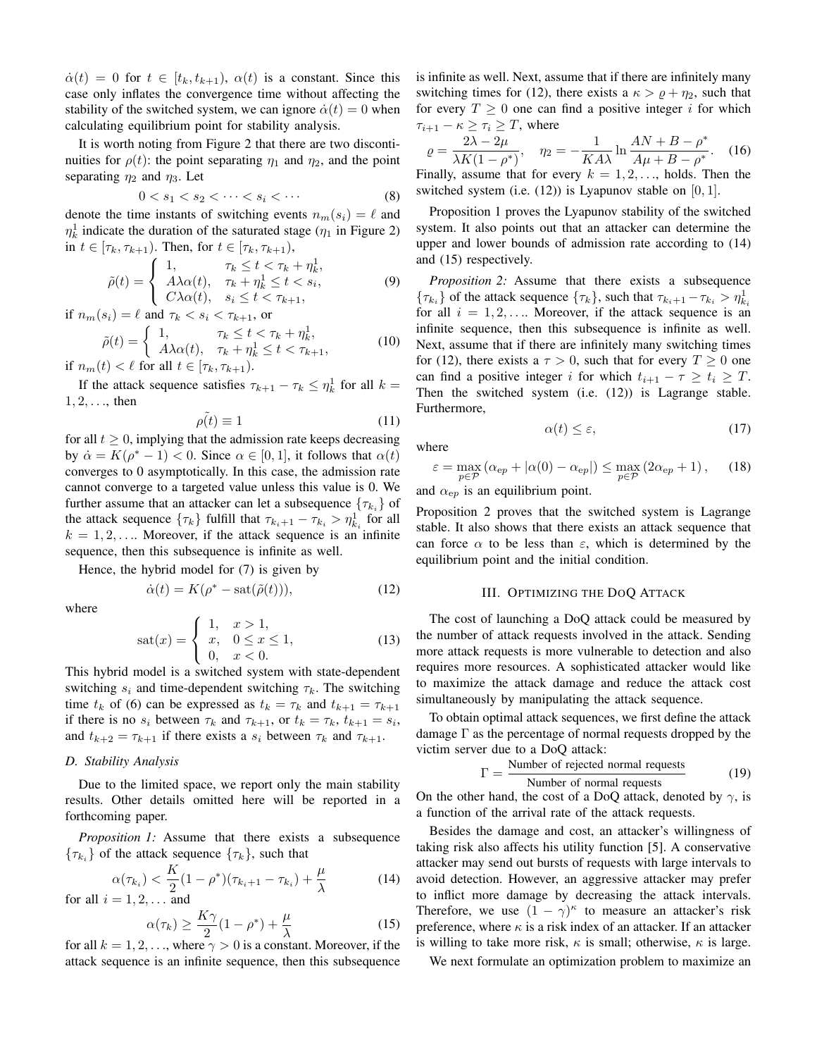$\dot{\alpha}(t)=0$  for  $t \in [t_k, t_{k+1}), \alpha(t)$  is a constant. Since this case only inflates the convergence time without affecting the stability of the switched system, we can ignore  $\dot{\alpha}(t)=0$  when calculating equilibrium point for stability analysis.

It is worth noting from Figure 2 that there are two discontinuities for  $\rho(t)$ : the point separating  $\eta_1$  and  $\eta_2$ , and the point separating  $\eta_2$  and  $\eta_3$ . Let

$$
0 < s_1 < s_2 < \dots < s_i < \dots \tag{8}
$$

denote the time instants of switching events  $n_m(s_i) = \ell$  and  $\eta_k^1$  indicate the duration of the saturated stage  $(\eta_1)$  in Figure 2) in  $t \in [\tau_k, \tau_{k+1})$ . Then, for  $t \in [\tau_k, \tau_{k+1})$ ,

$$
\tilde{\rho}(t) = \begin{cases}\n1, & \tau_k \le t < \tau_k + \eta_k^1, \\
A\lambda \alpha(t), & \tau_k + \eta_k^1 \le t < s_i, \\
C\lambda \alpha(t), & s_i \le t < \tau_{k+1},\n\end{cases}\n\tag{9}
$$

if  $n_m(s_i) = \ell$  and  $\tau_k < s_i < \tau_{k+1}$ , or

$$
\tilde{\rho}(t) = \begin{cases}\n1, & \tau_k \le t < \tau_k + \eta_k^1, \\
A\lambda \alpha(t), & \tau_k + \eta_k^1 \le t < \tau_{k+1},\n\end{cases}
$$
\n(10)

if  $n_m(t) < \ell$  for all  $t \in [\tau_k, \tau_{k+1})$ .

If the attack sequence satisfies  $\tau_{k+1} - \tau_k \leq \eta_k^1$  for all  $k =$  $1, 2, \ldots$ , then

$$
\tilde{\rho(t)} \equiv 1 \tag{11}
$$

for all  $t \geq 0$ , implying that the admission rate keeps decreasing by  $\dot{\alpha} = K(\rho^* - 1) < 0$ . Since  $\alpha \in [0, 1]$ , it follows that  $\alpha(t)$ converges to 0 asymptotically. In this case, the admission rate cannot converge to a targeted value unless this value is 0. We further assume that an attacker can let a subsequence  $\{\tau_{k_i}\}\$  of the attack sequence  $\{\tau_k\}$  fulfill that  $\tau_{k_i+1} - \tau_{k_i} > \eta_{k_i}^1$  for all  $k = 1, 2, \ldots$  Moreover, if the attack sequence is an infinite sequence, then this subsequence is infinite as well.

Hence, the hybrid model for (7) is given by

$$
\dot{\alpha}(t) = K(\rho^* - \text{sat}(\tilde{\rho}(t))),\tag{12}
$$

where

$$
sat(x) = \begin{cases} 1, & x > 1, \\ x, & 0 \le x \le 1, \\ 0, & x < 0. \end{cases}
$$
 (13)

This hybrid model is a switched system with state-dependent switching  $s_i$  and time-dependent switching  $\tau_k$ . The switching time  $t_k$  of (6) can be expressed as  $t_k = \tau_k$  and  $t_{k+1} = \tau_{k+1}$ if there is no  $s_i$  between  $\tau_k$  and  $\tau_{k+1}$ , or  $t_k = \tau_k$ ,  $t_{k+1} = s_i$ , and  $t_{k+2} = \tau_{k+1}$  if there exists a  $s_i$  between  $\tau_k$  and  $\tau_{k+1}$ .

# *D. Stability Analysis*

Due to the limited space, we report only the main stability results. Other details omitted here will be reported in a forthcoming paper.

*Proposition 1:* Assume that there exists a subsequence  ${\tau_{k_i}}$  of the attack sequence  ${\tau_k}$ , such that

$$
\alpha(\tau_{k_i}) < \frac{K}{2}(1 - \rho^*)(\tau_{k_i+1} - \tau_{k_i}) + \frac{\mu}{\lambda} \tag{14}
$$

for all  $i = 1, 2, \ldots$  and

$$
\alpha(\tau_k) \ge \frac{K\gamma}{2}(1 - \rho^*) + \frac{\mu}{\lambda}
$$
\n(15)

for all  $k = 1, 2, \ldots$ , where  $\gamma > 0$  is a constant. Moreover, if the attack sequence is an infinite sequence, then this subsequence is infinite as well. Next, assume that if there are infinitely many switching times for (12), there exists a  $\kappa > \varrho + \eta_2$ , such that for every  $T \geq 0$  one can find a positive integer i for which  $\tau_{i+1} - \kappa \geq \tau_i \geq T$ , where

$$
\varrho = \frac{2\lambda - 2\mu}{\lambda K(1 - \rho^*)}, \quad \eta_2 = -\frac{1}{K A\lambda} \ln \frac{A N + B - \rho^*}{A\mu + B - \rho^*}. \tag{16}
$$

Finally, assume that for every  $k = 1, 2, \dots$ , holds. Then the switched system (i.e.  $(12)$ ) is Lyapunov stable on  $[0, 1]$ .

Proposition 1 proves the Lyapunov stability of the switched system. It also points out that an attacker can determine the upper and lower bounds of admission rate according to (14) and (15) respectively.

*Proposition 2:* Assume that there exists a subsequence  ${\tau_{k_i}}$  of the attack sequence  ${\tau_k}$ , such that  ${\tau_{k_i+1}} - {\tau_{k_i}} > {\eta_{k_i}^1}$ for all  $i = 1, 2, \ldots$  Moreover, if the attack sequence is an infinite sequence, then this subsequence is infinite as well. Next, assume that if there are infinitely many switching times for (12), there exists a  $\tau > 0$ , such that for every  $T \ge 0$  one can find a positive integer i for which  $t_{i+1} - \tau \geq t_i \geq T$ . Then the switched system (i.e. (12)) is Lagrange stable. Furthermore,

$$
\alpha(t) \le \varepsilon,\tag{17}
$$

where

$$
\varepsilon = \max_{p \in \mathcal{P}} \left( \alpha_{ep} + |\alpha(0) - \alpha_{ep}| \right) \le \max_{p \in \mathcal{P}} \left( 2\alpha_{ep} + 1 \right), \tag{18}
$$

and  $\alpha_{ep}$  is an equilibrium point.

Proposition 2 proves that the switched system is Lagrange stable. It also shows that there exists an attack sequence that can force  $\alpha$  to be less than  $\varepsilon$ , which is determined by the equilibrium point and the initial condition.

#### III. OPTIMIZING THE DOQ ATTACK

The cost of launching a DoQ attack could be measured by the number of attack requests involved in the attack. Sending more attack requests is more vulnerable to detection and also requires more resources. A sophisticated attacker would like to maximize the attack damage and reduce the attack cost simultaneously by manipulating the attack sequence.

To obtain optimal attack sequences, we first define the attack damage  $\Gamma$  as the percentage of normal requests dropped by the victim server due to a DoQ attack:

$$
\Gamma = \frac{\text{Number of rejected normal requests}}{\text{Number of normal requests}} \tag{19}
$$

On the other hand, the cost of a DoQ attack, denoted by  $\gamma$ , is a function of the arrival rate of the attack requests.

Besides the damage and cost, an attacker's willingness of taking risk also affects his utility function [5]. A conservative attacker may send out bursts of requests with large intervals to avoid detection. However, an aggressive attacker may prefer to inflict more damage by decreasing the attack intervals. Therefore, we use  $(1 - \gamma)^{\kappa}$  to measure an attacker's risk preference, where  $\kappa$  is a risk index of an attacker. If an attacker is willing to take more risk,  $\kappa$  is small; otherwise,  $\kappa$  is large.

We next formulate an optimization problem to maximize an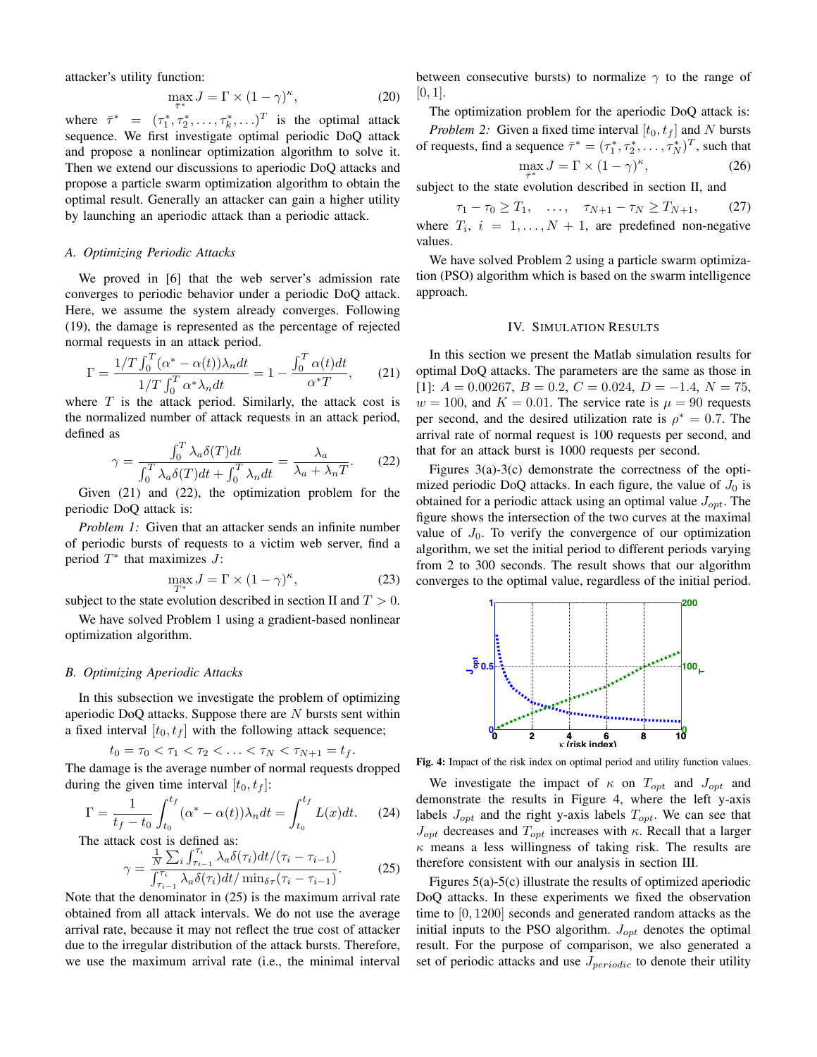attacker's utility function:

$$
\max_{\overline{\tau}^*} J = \Gamma \times (1 - \gamma)^{\kappa},\tag{20}
$$

where  $\bar{\tau}^* = (\tau_1^*, \tau_2^*, \dots, \tau_k^*, \dots)^T$  is the optimal attack sequence. We first investigate optimal periodic DoQ attack and propose a nonlinear optimization algorithm to solve it. Then we extend our discussions to aperiodic DoQ attacks and propose a particle swarm optimization algorithm to obtain the optimal result. Generally an attacker can gain a higher utility by launching an aperiodic attack than a periodic attack.

## *A. Optimizing Periodic Attacks*

We proved in [6] that the web server's admission rate converges to periodic behavior under a periodic DoQ attack. Here, we assume the system already converges. Following (19), the damage is represented as the percentage of rejected normal requests in an attack period.

$$
\Gamma = \frac{1/T \int_0^T (\alpha^* - \alpha(t)) \lambda_n dt}{1/T \int_0^T \alpha^* \lambda_n dt} = 1 - \frac{\int_0^T \alpha(t) dt}{\alpha^* T},
$$
 (21)

where  $T$  is the attack period. Similarly, the attack cost is the normalized number of attack requests in an attack period, defined as

$$
\gamma = \frac{\int_0^T \lambda_a \delta(T) dt}{\int_0^T \lambda_a \delta(T) dt + \int_0^T \lambda_n dt} = \frac{\lambda_a}{\lambda_a + \lambda_n T}.
$$
 (22)

Given (21) and (22), the optimization problem for the periodic DoQ attack is:

*Problem 1:* Given that an attacker sends an infinite number of periodic bursts of requests to a victim web server, find a period  $T^*$  that maximizes  $J$ :

$$
\max_{T^*} J = \Gamma \times (1 - \gamma)^{\kappa},\tag{23}
$$

subject to the state evolution described in section II and  $T > 0$ .

We have solved Problem 1 using a gradient-based nonlinear optimization algorithm.

#### *B. Optimizing Aperiodic Attacks*

In this subsection we investigate the problem of optimizing aperiodic DoQ attacks. Suppose there are  $N$  bursts sent within a fixed interval  $[t_0, t_f]$  with the following attack sequence;

$$
t_0 = \tau_0 < \tau_1 < \tau_2 < \ldots < \tau_N < \tau_{N+1} = t_f.
$$

The damage is the average number of normal requests dropped during the given time interval  $[t_0, t_f]$ :

$$
\Gamma = \frac{1}{t_f - t_0} \int_{t_0}^{t_f} (\alpha^* - \alpha(t)) \lambda_n dt = \int_{t_0}^{t_f} L(x) dt. \tag{24}
$$

The attack cost is defined as:<br> $\frac{1}{N} \sum_i \int_{\tau_i}^{\tau_i} \lambda_a \delta$ 

$$
\gamma = \frac{\frac{1}{N} \sum_{i} \int_{\tau_{i-1}}^{\tau_i} \lambda_a \delta(\tau_i) dt / (\tau_i - \tau_{i-1})}{\int_{\tau_{i-1}}^{\tau_i} \lambda_a \delta(\tau_i) dt / \min_{\delta \tau} (\tau_i - \tau_{i-1})}.
$$
 (25)

Note that the denominator in (25) is the maximum arrival rate obtained from all attack intervals. We do not use the average arrival rate, because it may not reflect the true cost of attacker due to the irregular distribution of the attack bursts. Therefore, we use the maximum arrival rate (i.e., the minimal interval between consecutive bursts) to normalize  $\gamma$  to the range of  $[0, 1]$ .

The optimization problem for the aperiodic DoQ attack is: *Problem 2:* Given a fixed time interval  $[t_0, t_f]$  and N bursts of requests, find a sequence  $\bar{\tau}^* = (\tau_1^*, \tau_2^*, \dots, \tau_N^*)^T$ , such that  $\max_{\overline{\tau}^*} J = \Gamma \times (1 - \gamma)$  $(26)$ 

subject to the state evolution described in section II, and

 $\tau_1 - \tau_0 \geq T_1, \quad \ldots, \quad \tau_{N+1} - \tau_N \geq T_{N+1}, \qquad (27)$ where  $T_i$ ,  $i = 1, ..., N + 1$ , are predefined non-negative values.

We have solved Problem 2 using a particle swarm optimization (PSO) algorithm which is based on the swarm intelligence approach.

#### IV. SIMULATION RESULTS

In this section we present the Matlab simulation results for optimal DoQ attacks. The parameters are the same as those in [1]:  $A = 0.00267$ ,  $B = 0.2$ ,  $C = 0.024$ ,  $D = -1.4$ ,  $N = 75$ ,  $w = 100$ , and  $K = 0.01$ . The service rate is  $\mu = 90$  requests per second, and the desired utilization rate is  $\rho^* = 0.7$ . The arrival rate of normal request is 100 requests per second, and that for an attack burst is 1000 requests per second.

Figures 3(a)-3(c) demonstrate the correctness of the optimized periodic DoQ attacks. In each figure, the value of  $J_0$  is obtained for a periodic attack using an optimal value  $J_{opt}$ . The figure shows the intersection of the two curves at the maximal value of  $J_0$ . To verify the convergence of our optimization algorithm, we set the initial period to different periods varying from 2 to 300 seconds. The result shows that our algorithm converges to the optimal value, regardless of the initial period.



**Fig. 4:** Impact of the risk index on optimal period and utility function values.

We investigate the impact of  $\kappa$  on  $T_{opt}$  and  $J_{opt}$  and demonstrate the results in Figure 4, where the left y-axis labels  $J_{opt}$  and the right y-axis labels  $T_{opt}$ . We can see that  $J_{opt}$  decreases and  $T_{opt}$  increases with  $\kappa$ . Recall that a larger  $\kappa$  means a less willingness of taking risk. The results are therefore consistent with our analysis in section III.

Figures 5(a)-5(c) illustrate the results of optimized aperiodic DoQ attacks. In these experiments we fixed the observation time to [0, 1200] seconds and generated random attacks as the initial inputs to the PSO algorithm.  $J_{opt}$  denotes the optimal result. For the purpose of comparison, we also generated a set of periodic attacks and use  $J_{periodic}$  to denote their utility